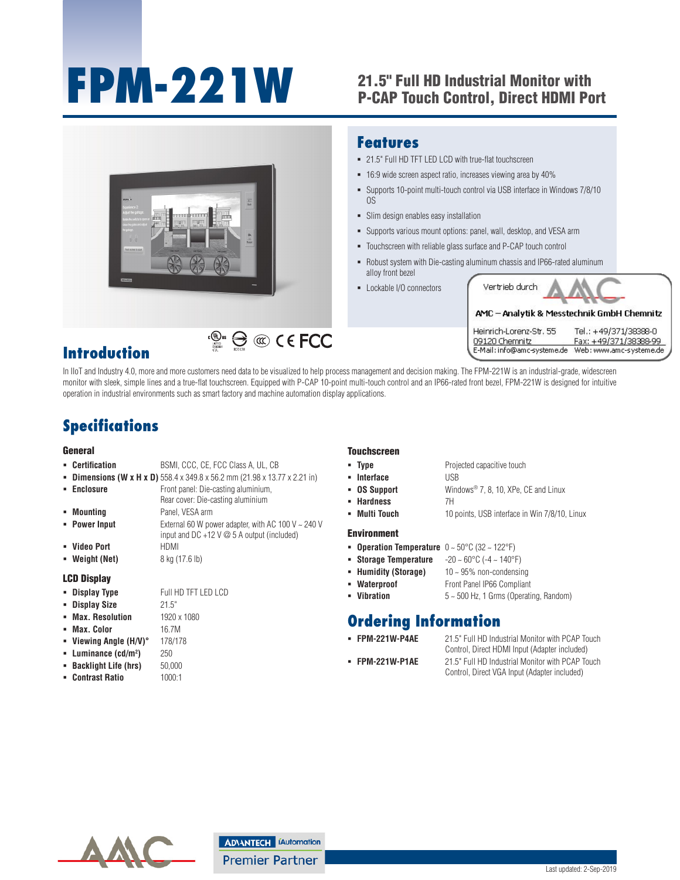# **FPM-221W** 21.5" Full HD Industrial Monitor with

## P-CAP Touch Control, Direct HDMI Port



#### **Introduction**

In IIoT and Industry 4.0, more and more customers need data to be visualized to help process management and decision making. The FPM-221W is an industrial-grade, widescreen monitor with sleek, simple lines and a true-flat touchscreen. Equipped with P-CAP 10-point multi-touch control and an IP66-rated front bezel, FPM-221W is designed for intuitive operation in industrial environments such as smart factory and machine automation display applications.

### **Specifications**

#### General

- **Certification** BSMI, CCC, CE, FCC Class A, UL, CB
- **Dimensions (W x H x D)** 558.4 x 349.8 x 56.2 mm (21.98 x 13.77 x 2.21 in)
- **Enclosure Front panel: Die-casting aluminium,** Rear cover: Die-casting aluminium

**)** 250

- **Mounting** Panel, VESA arm **Power Input** External 60 W power adapter, with AC 100 V ~ 240 V input and DC +12 V @ 5 A output (included)
- **Video Port** HDMI
- **Weight (Net)** 8 kg (17.6 lb)

#### LCD Display

- **Display Type Full HD TFT LED LCD**
- **Display Size** 21.5"
- **Max. Resolution** 1920 x 1080
- **Max. Color** 16.7M
- **Viewing Angle (H/V)°** 178/178
- **Luminance (cd/m2**
- **Backlight Life (hrs)** 50,000
- **Contrast Ratio** 1000:1

#### **Touchscreen**

**Type** Projected capacitive touch **Interface** USB **OS Support** Windows® 7, 8, 10, XPe, CE and Linux **Hardness** 7H **Multi Touch** 10 points, USB interface in Win 7/8/10, Linux

#### Environment

- **Operation Temperature** 0 ~ 50°C (32 ~ 122°F)
- **Storage Temperature** -20 ~ 60°C (-4 ~ 140°F)
- **Humidity (Storage)** 10 ~ 95% non-condensing
- **Waterproof Front Panel IP66 Compliant**
- **Vibration** 5 ~ 500 Hz, 1 Grms (Operating, Random)

#### **Ordering Information**

- 
- 

 **FPM-221W-P4AE** 21.5" Full HD Industrial Monitor with PCAP Touch Control, Direct HDMI Input (Adapter included) **FPM-221W-P1AE** 21.5" Full HD Industrial Monitor with PCAP Touch Control, Direct VGA Input (Adapter included)

**Industrial Monitors** All product specifications are subject to change without notice. Last updated: 2-Sep-2019

#### **ADVANTECH IAutomation**